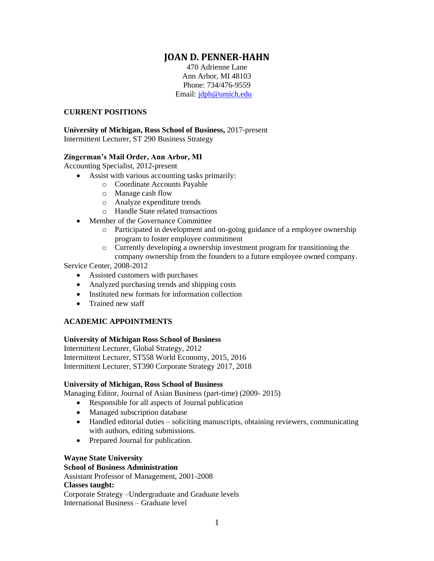# **JOAN D. PENNER-HAHN**

470 Adrienne Lane Ann Arbor, MI 48103 Phone: 734/476-9559 Email: [jdph@umich.edu](mailto:jdph@umich.edu)

#### **CURRENT POSITIONS**

#### **University of Michigan, Ross School of Business,** 2017-present Intermittent Lecturer, ST 290 Business Strategy

# **Zingerman's Mail Order, Ann Arbor, MI**

Accounting Specialist, 2012-present

- Assist with various accounting tasks primarily:
	- o Coordinate Accounts Payable
	- o Manage cash flow
	- o Analyze expenditure trends
	- o Handle State related transactions
- Member of the Governance Committee
	- o Participated in development and on-going guidance of a employee ownership program to foster employee commitment
	- o Currently developing a ownership investment program for transitioning the
	- company ownership from the founders to a future employee owned company.

Service Center, 2008-2012

- Assisted customers with purchases
- Analyzed purchasing trends and shipping costs
- Instituted new formats for information collection
- Trained new staff

# **ACADEMIC APPOINTMENTS**

# **University of Michigan Ross School of Business**

Intermittent Lecturer, Global Strategy, 2012 Intermittent Lecturer, ST558 World Economy, 2015, 2016 Intermittent Lecturer, ST390 Corporate Strategy 2017, 2018

# **University of Michigan, Ross School of Business**

Managing Editor, Journal of Asian Business (part-time) (2009- 2015)

- Responsible for all aspects of Journal publication
- Managed subscription database
- Handled editorial duties soliciting manuscripts, obtaining reviewers, communicating with authors, editing submissions.
- Prepared Journal for publication.

# **Wayne State University**

# **School of Business Administration**

Assistant Professor of Management, 2001-2008 **Classes taught:**  Corporate Strategy –Undergraduate and Graduate levels

International Business – Graduate level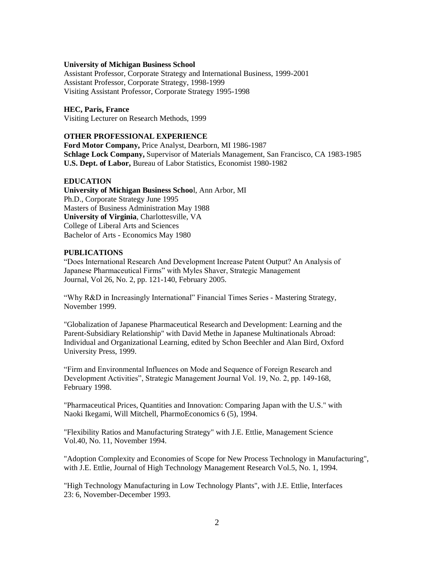#### **University of Michigan Business School**

Assistant Professor, Corporate Strategy and International Business, 1999-2001 Assistant Professor, Corporate Strategy, 1998-1999 Visiting Assistant Professor, Corporate Strategy 1995-1998

#### **HEC, Paris, France**

Visiting Lecturer on Research Methods, 1999

# **OTHER PROFESSIONAL EXPERIENCE**

**Ford Motor Company,** Price Analyst, Dearborn, MI 1986-1987 **Schlage Lock Company,** Supervisor of Materials Management, San Francisco, CA 1983-1985 **U.S. Dept. of Labor,** Bureau of Labor Statistics, Economist 1980-1982

#### **EDUCATION**

**University of Michigan Business Schoo**l, Ann Arbor, MI Ph.D., Corporate Strategy June 1995 Masters of Business Administration May 1988 **University of Virginia**, Charlottesville, VA College of Liberal Arts and Sciences Bachelor of Arts - Economics May 1980

## **PUBLICATIONS**

"Does International Research And Development Increase Patent Output? An Analysis of Japanese Pharmaceutical Firms" with Myles Shaver, Strategic Management Journal, Vol 26, No. 2, pp. 121-140, February 2005.

"Why R&D in Increasingly International" Financial Times Series - Mastering Strategy, November 1999.

"Globalization of Japanese Pharmaceutical Research and Development: Learning and the Parent-Subsidiary Relationship" with David Methe in Japanese Multinationals Abroad: Individual and Organizational Learning, edited by Schon Beechler and Alan Bird, Oxford University Press, 1999.

"Firm and Environmental Influences on Mode and Sequence of Foreign Research and Development Activities", Strategic Management Journal Vol. 19, No. 2, pp. 149-168, February 1998.

"Pharmaceutical Prices, Quantities and Innovation: Comparing Japan with the U.S." with Naoki Ikegami, Will Mitchell, PharmoEconomics 6 (5), 1994.

"Flexibility Ratios and Manufacturing Strategy" with J.E. Ettlie, Management Science Vol.40, No. 11, November 1994.

"Adoption Complexity and Economies of Scope for New Process Technology in Manufacturing", with J.E. Ettlie, Journal of High Technology Management Research Vol.5, No. 1, 1994.

"High Technology Manufacturing in Low Technology Plants", with J.E. Ettlie, Interfaces 23: 6, November-December 1993.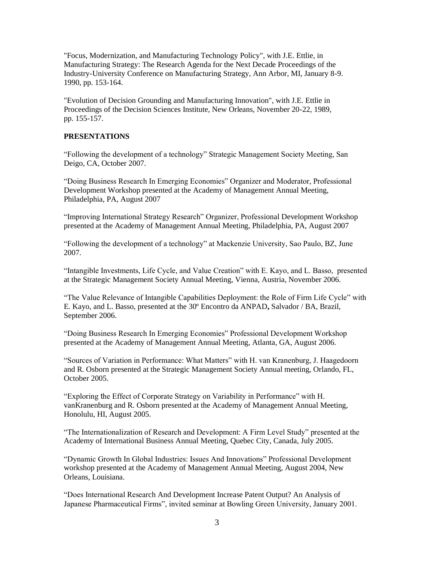"Focus, Modernization, and Manufacturing Technology Policy", with J.E. Ettlie, in Manufacturing Strategy: The Research Agenda for the Next Decade Proceedings of the Industry-University Conference on Manufacturing Strategy, Ann Arbor, MI, January 8-9. 1990, pp. 153-164.

"Evolution of Decision Grounding and Manufacturing Innovation", with J.E. Ettlie in Proceedings of the Decision Sciences Institute, New Orleans, November 20-22, 1989, pp. 155-157.

# **PRESENTATIONS**

"Following the development of a technology" Strategic Management Society Meeting, San Deigo, CA, October 2007.

"Doing Business Research In Emerging Economies" Organizer and Moderator, Professional Development Workshop presented at the Academy of Management Annual Meeting, Philadelphia, PA, August 2007

"Improving International Strategy Research" Organizer, Professional Development Workshop presented at the Academy of Management Annual Meeting, Philadelphia, PA, August 2007

"Following the development of a technology" at Mackenzie University, Sao Paulo, BZ, June 2007.

"Intangible Investments, Life Cycle, and Value Creation" with E. Kayo, and L. Basso, presented at the Strategic Management Society Annual Meeting, Vienna, Austria, November 2006.

"The Value Relevance of Intangible Capabilities Deployment: the Role of Firm Life Cycle" with E. Kayo, and L. Basso, presented at the 30º Encontro da ANPAD**,** Salvador / BA, Brazil, September 2006.

"Doing Business Research In Emerging Economies" Professional Development Workshop presented at the Academy of Management Annual Meeting, Atlanta, GA, August 2006.

"Sources of Variation in Performance: What Matters" with H. van Kranenburg, J. Haagedoorn and R. Osborn presented at the Strategic Management Society Annual meeting, Orlando, FL, October 2005.

"Exploring the Effect of Corporate Strategy on Variability in Performance" with H. vanKranenburg and R. Osborn presented at the Academy of Management Annual Meeting, Honolulu, HI, August 2005.

"The Internationalization of Research and Development: A Firm Level Study" presented at the Academy of International Business Annual Meeting, Quebec City, Canada, July 2005.

"Dynamic Growth In Global Industries: Issues And Innovations" Professional Development workshop presented at the Academy of Management Annual Meeting, August 2004, New Orleans, Louisiana.

"Does International Research And Development Increase Patent Output? An Analysis of Japanese Pharmaceutical Firms", invited seminar at Bowling Green University, January 2001.